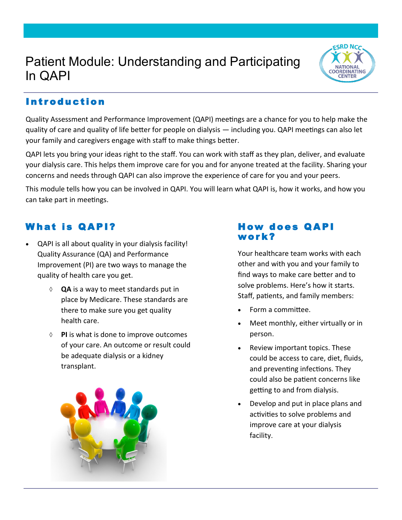# Patient Module: Understanding and Participating In QAPI



## **Introduction**

Quality Assessment and Performance Improvement (QAPI) meetings are a chance for you to help make the quality of care and quality of life better for people on dialysis — including you. QAPI meetings can also let your family and caregivers engage with staff to make things better.

QAPI lets you bring your ideas right to the staff. You can work with staff as they plan, deliver, and evaluate your dialysis care. This helps them improve care for you and for anyone treated at the facility. Sharing your concerns and needs through QAPI can also improve the experience of care for you and your peers.

This module tells how you can be involved in QAPI. You will learn what QAPI is, how it works, and how you can take part in meetings.

### W hat is Q A PI?

- QAPI is all about quality in your dialysis facility! Quality Assurance (QA) and Performance Improvement (PI) are two ways to manage the quality of health care you get.
	- **QA** is a way to meet standards put in place by Medicare. These standards are there to make sure you get quality health care.
	- **PI** is what is done to improve outcomes of your care. An outcome or result could be adequate dialysis or a kidney transplant.



#### How d oes Q A PI wor k?

Your healthcare team works with each other and with you and your family to find ways to make care better and to solve problems. Here's how it starts. Staff, patients, and family members:

- Form a committee.
- Meet monthly, either virtually or in person.
- Review important topics. These could be access to care, diet, fluids, and preventing infections. They could also be patient concerns like getting to and from dialysis.
- Develop and put in place plans and activities to solve problems and improve care at your dialysis facility.